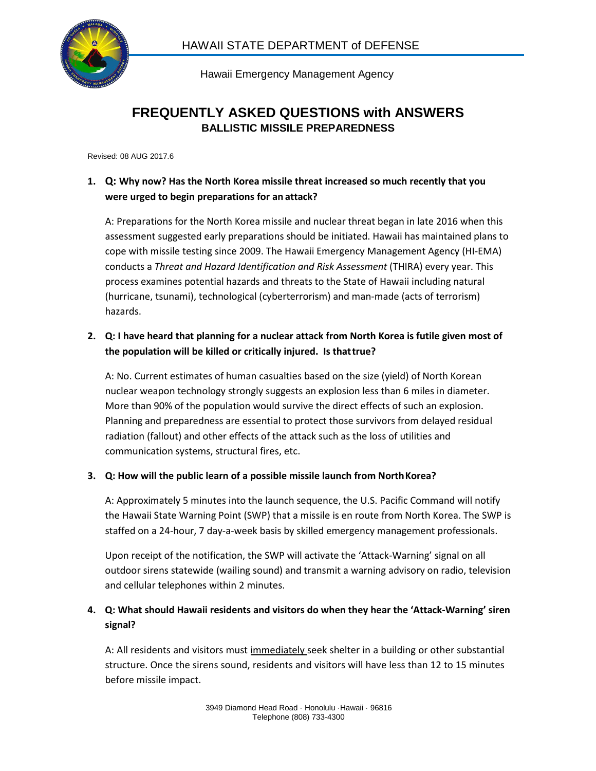

Hawaii Emergency Management Agency

# **FREQUENTLY ASKED QUESTIONS with ANSWERS BALLISTIC MISSILE PREPAREDNESS**

Revised: 08 AUG 2017.6

# **1. Q: Why now? Has the North Korea missile threat increased so much recently that you were urged to begin preparations for an attack?**

A: Preparations for the North Korea missile and nuclear threat began in late 2016 when this assessment suggested early preparations should be initiated. Hawaii has maintained plans to cope with missile testing since 2009. The Hawaii Emergency Management Agency (HI-EMA) conducts a *Threat and Hazard Identification and Risk Assessment* (THIRA) every year. This process examines potential hazards and threats to the State of Hawaii including natural (hurricane, tsunami), technological (cyberterrorism) and man-made (acts of terrorism) hazards.

# **2. Q: I have heard that planning for a nuclear attack from North Korea is futile given most of the population will be killed or critically injured. Is thattrue?**

A: No. Current estimates of human casualties based on the size (yield) of North Korean nuclear weapon technology strongly suggests an explosion less than 6 miles in diameter. More than 90% of the population would survive the direct effects of such an explosion. Planning and preparedness are essential to protect those survivors from delayed residual radiation (fallout) and other effects of the attack such as the loss of utilities and communication systems, structural fires, etc.

### **3. Q: How will the public learn of a possible missile launch from NorthKorea?**

A: Approximately 5 minutes into the launch sequence, the U.S. Pacific Command will notify the Hawaii State Warning Point (SWP) that a missile is en route from North Korea. The SWP is staffed on a 24-hour, 7 day-a-week basis by skilled emergency management professionals.

Upon receipt of the notification, the SWP will activate the 'Attack-Warning' signal on all outdoor sirens statewide (wailing sound) and transmit a warning advisory on radio, television and cellular telephones within 2 minutes.

# **4. Q: What should Hawaii residents and visitors do when they hear the 'Attack-Warning' siren signal?**

A: All residents and visitors must immediately seek shelter in a building or other substantial structure. Once the sirens sound, residents and visitors will have less than 12 to 15 minutes before missile impact.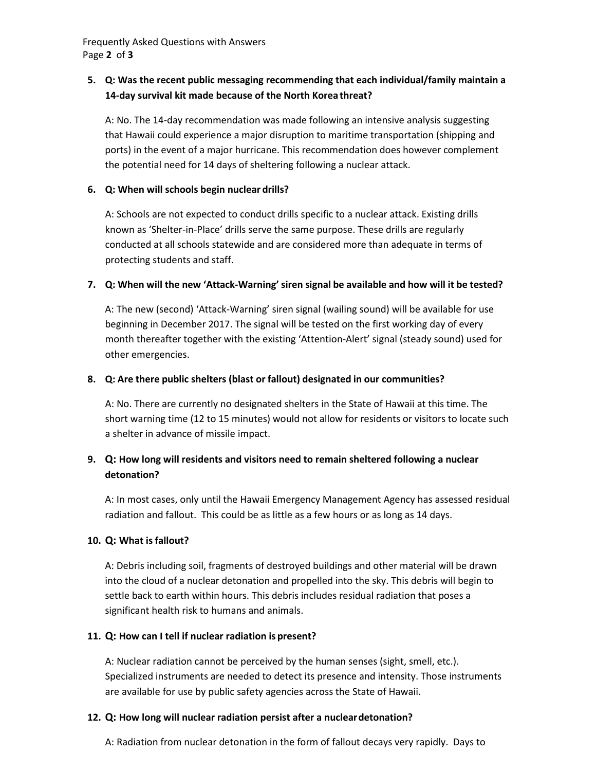Frequently Asked Questions with Answers Page **2** of **3**

### **5. Q: Was the recent public messaging recommending that each individual/family maintain a 14-day survival kit made because of the North Korea threat?**

A: No. The 14-day recommendation was made following an intensive analysis suggesting that Hawaii could experience a major disruption to maritime transportation (shipping and ports) in the event of a major hurricane. This recommendation does however complement the potential need for 14 days of sheltering following a nuclear attack.

#### **6. Q: When will schools begin nuclear drills?**

A: Schools are not expected to conduct drills specific to a nuclear attack. Existing drills known as 'Shelter-in-Place' drills serve the same purpose. These drills are regularly conducted at all schools statewide and are considered more than adequate in terms of protecting students and staff.

### **7. Q: When will the new 'Attack-Warning'siren signal be available and how will it be tested?**

A: The new (second) 'Attack-Warning' siren signal (wailing sound) will be available for use beginning in December 2017. The signal will be tested on the first working day of every month thereafter together with the existing 'Attention-Alert' signal (steady sound) used for other emergencies.

### **8. Q: Are there public shelters (blast or fallout) designated in our communities?**

A: No. There are currently no designated shelters in the State of Hawaii at this time. The short warning time (12 to 15 minutes) would not allow for residents or visitors to locate such a shelter in advance of missile impact.

## **9. Q: How long will residents and visitors need to remain sheltered following a nuclear detonation?**

A: In most cases, only until the Hawaii Emergency Management Agency has assessed residual radiation and fallout. This could be as little as a few hours or as long as 14 days.

#### **10. Q: What isfallout?**

A: Debris including soil, fragments of destroyed buildings and other material will be drawn into the cloud of a nuclear detonation and propelled into the sky. This debris will begin to settle back to earth within hours. This debris includes residual radiation that poses a significant health risk to humans and animals.

#### **11. Q: How can I tell if nuclear radiation is present?**

A: Nuclear radiation cannot be perceived by the human senses (sight, smell, etc.). Specialized instruments are needed to detect its presence and intensity. Those instruments are available for use by public safety agencies across the State of Hawaii.

### **12. Q: How long will nuclear radiation persist after a nucleardetonation?**

A: Radiation from nuclear detonation in the form of fallout decays very rapidly. Days to